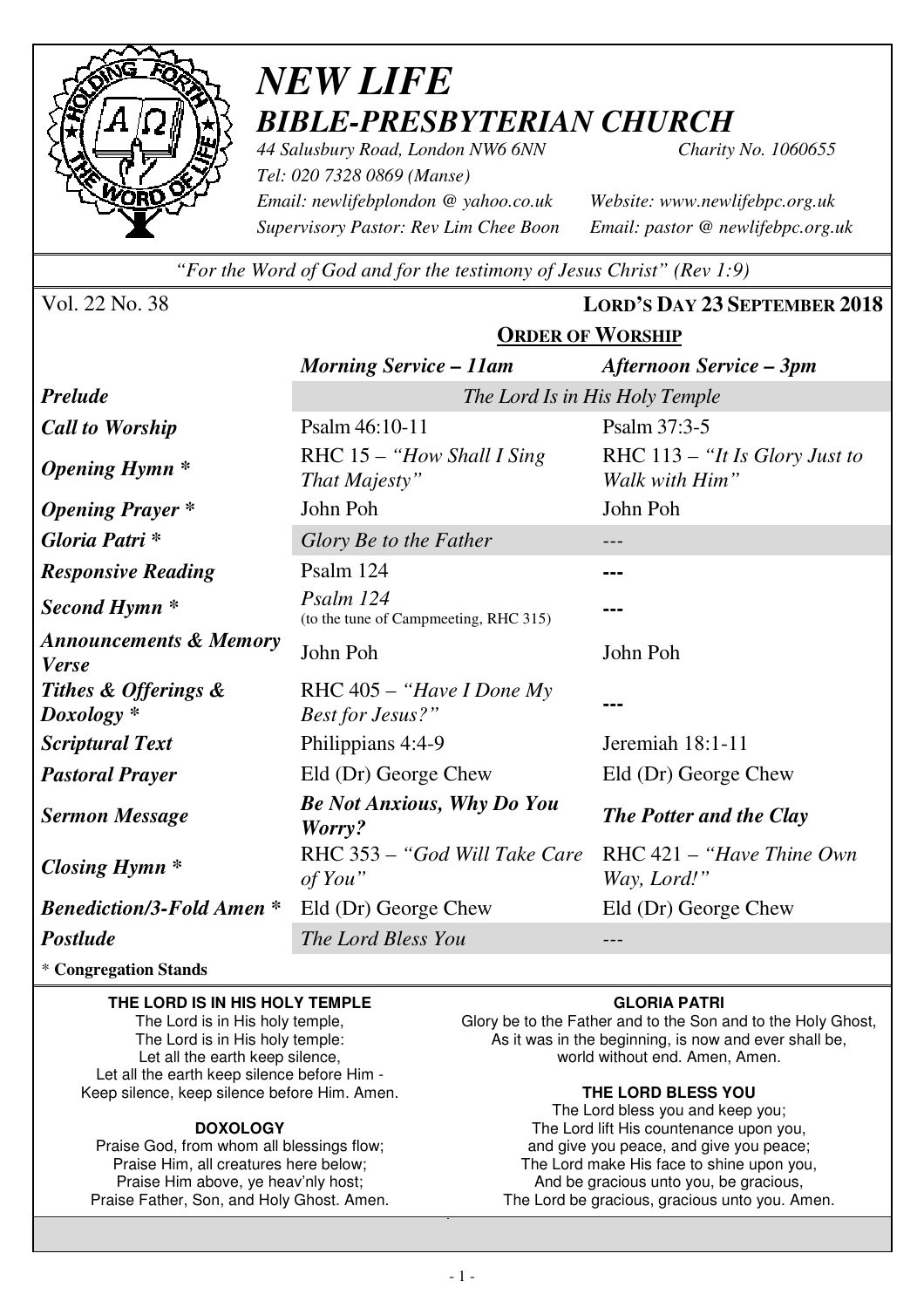

# *NEW LIFE BIBLE-PRESBYTERIAN CHURCH*

*44 Salusbury Road, London NW6 6NN Charity No. 1060655 Tel: 020 7328 0869 (Manse) Email: newlifebplondon @ yahoo.co.uk Website: www.newlifebpc.org.uk Supervisory Pastor: Rev Lim Chee Boon Email: pastor @ newlifebpc.org.uk* 

*"For the Word of God and for the testimony of Jesus Christ" (Rev 1:9)*

**ORDER OF WORSHIP**

Vol. 22 No. 38 **LORD'S DAY 23 SEPTEMBER 2018**

|                                                   | <b>Morning Service – 11am</b>                          | <b>Afternoon Service – 3pm</b>                     |  |  |  |
|---------------------------------------------------|--------------------------------------------------------|----------------------------------------------------|--|--|--|
| <b>Prelude</b>                                    | The Lord Is in His Holy Temple                         |                                                    |  |  |  |
| <b>Call to Worship</b>                            | Psalm 46:10-11                                         | Psalm 37:3-5                                       |  |  |  |
| <b>Opening Hymn</b> *                             | RHC $15 - "How Shall I Sing$<br>That Majesty"          | RHC $113 - "It Is Glory Just to$<br>Walk with Him" |  |  |  |
| <b>Opening Prayer</b> *                           | John Poh                                               | John Poh                                           |  |  |  |
| Gloria Patri*                                     | Glory Be to the Father                                 | ---                                                |  |  |  |
| <b>Responsive Reading</b>                         | Psalm 124                                              | ---                                                |  |  |  |
| Second Hymn <sup>*</sup>                          | Psalm 124<br>(to the tune of Campmeeting, RHC 315)     | ---                                                |  |  |  |
| <b>Announcements &amp; Memory</b><br><b>Verse</b> | John Poh                                               | John Poh                                           |  |  |  |
| Tithes & Offerings &<br>$Doxology *$              | RHC $405 -$ "Have I Done My<br><b>Best for Jesus?"</b> | ---                                                |  |  |  |
| <b>Scriptural Text</b>                            | Philippians 4:4-9                                      | Jeremiah 18:1-11                                   |  |  |  |
| <b>Pastoral Prayer</b>                            | Eld (Dr) George Chew                                   | Eld (Dr) George Chew                               |  |  |  |
| <b>Sermon Message</b>                             | <b>Be Not Anxious, Why Do You</b><br>Worry?            | <b>The Potter and the Clay</b>                     |  |  |  |
| <b>Closing Hymn</b> *                             | RHC 353 – "God Will Take Care"<br>of You"              | $RHC 421 - "Have Thine Own$<br>Way, Lord!"         |  |  |  |
| <b>Benediction/3-Fold Amen*</b>                   | Eld (Dr) George Chew                                   | Eld (Dr) George Chew                               |  |  |  |
| Postlude                                          | The Lord Bless You                                     | ---                                                |  |  |  |

\* **Congregation Stands** 

#### **THE LORD IS IN HIS HOLY TEMPLE**

The Lord is in His holy temple, The Lord is in His holy temple: Let all the earth keep silence, Let all the earth keep silence before Him - Keep silence, keep silence before Him. Amen.

#### **DOXOLOGY**

Praise God, from whom all blessings flow; Praise Him, all creatures here below; Praise Him above, ye heav'nly host; Praise Father, Son, and Holy Ghost. Amen.

#### **GLORIA PATRI**

Glory be to the Father and to the Son and to the Holy Ghost, As it was in the beginning, is now and ever shall be, world without end. Amen, Amen.

#### **THE LORD BLESS YOU**

The Lord bless you and keep you; The Lord lift His countenance upon you, and give you peace, and give you peace; The Lord make His face to shine upon you, And be gracious unto you, be gracious, The Lord be gracious, gracious unto you. Amen.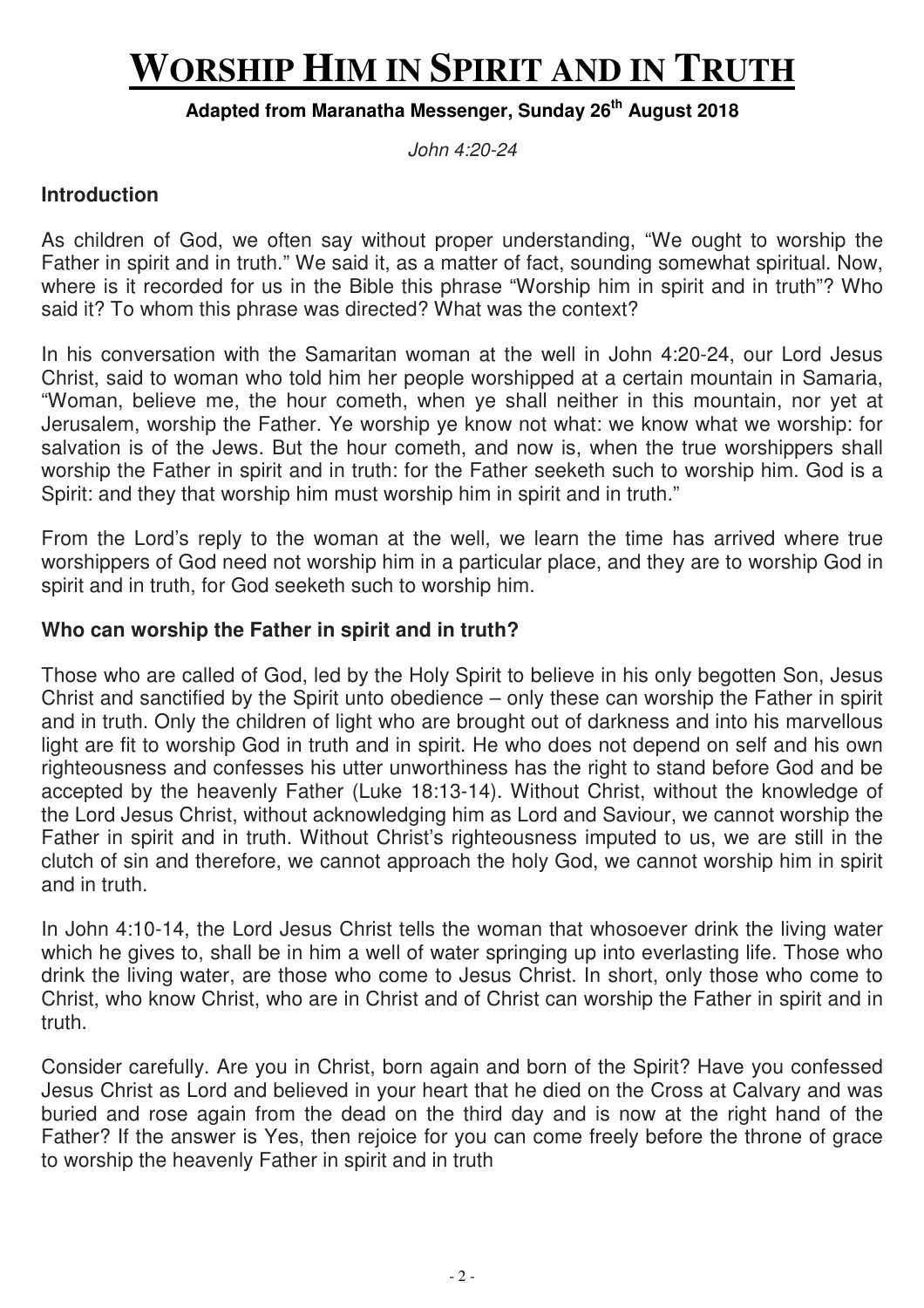# **WORSHIP HIM IN SPIRIT AND IN TRUTH**

### **Adapted from Maranatha Messenger, Sunday 26th August 2018**

John 4:20-24

### **Introduction**

As children of God, we often say without proper understanding, "We ought to worship the Father in spirit and in truth." We said it, as a matter of fact, sounding somewhat spiritual. Now, where is it recorded for us in the Bible this phrase "Worship him in spirit and in truth"? Who said it? To whom this phrase was directed? What was the context?

In his conversation with the Samaritan woman at the well in John 4:20-24, our Lord Jesus Christ, said to woman who told him her people worshipped at a certain mountain in Samaria, "Woman, believe me, the hour cometh, when ye shall neither in this mountain, nor yet at Jerusalem, worship the Father. Ye worship ye know not what: we know what we worship: for salvation is of the Jews. But the hour cometh, and now is, when the true worshippers shall worship the Father in spirit and in truth: for the Father seeketh such to worship him. God is a Spirit: and they that worship him must worship him in spirit and in truth."

From the Lord's reply to the woman at the well, we learn the time has arrived where true worshippers of God need not worship him in a particular place, and they are to worship God in spirit and in truth, for God seeketh such to worship him.

### **Who can worship the Father in spirit and in truth?**

Those who are called of God, led by the Holy Spirit to believe in his only begotten Son, Jesus Christ and sanctified by the Spirit unto obedience – only these can worship the Father in spirit and in truth. Only the children of light who are brought out of darkness and into his marvellous light are fit to worship God in truth and in spirit. He who does not depend on self and his own righteousness and confesses his utter unworthiness has the right to stand before God and be accepted by the heavenly Father (Luke 18:13-14). Without Christ, without the knowledge of the Lord Jesus Christ, without acknowledging him as Lord and Saviour, we cannot worship the Father in spirit and in truth. Without Christ's righteousness imputed to us, we are still in the clutch of sin and therefore, we cannot approach the holy God, we cannot worship him in spirit and in truth.

In John 4:10-14, the Lord Jesus Christ tells the woman that whosoever drink the living water which he gives to, shall be in him a well of water springing up into everlasting life. Those who drink the living water, are those who come to Jesus Christ. In short, only those who come to Christ, who know Christ, who are in Christ and of Christ can worship the Father in spirit and in truth.

Consider carefully. Are you in Christ, born again and born of the Spirit? Have you confessed Jesus Christ as Lord and believed in your heart that he died on the Cross at Calvary and was buried and rose again from the dead on the third day and is now at the right hand of the Father? If the answer is Yes, then rejoice for you can come freely before the throne of grace to worship the heavenly Father in spirit and in truth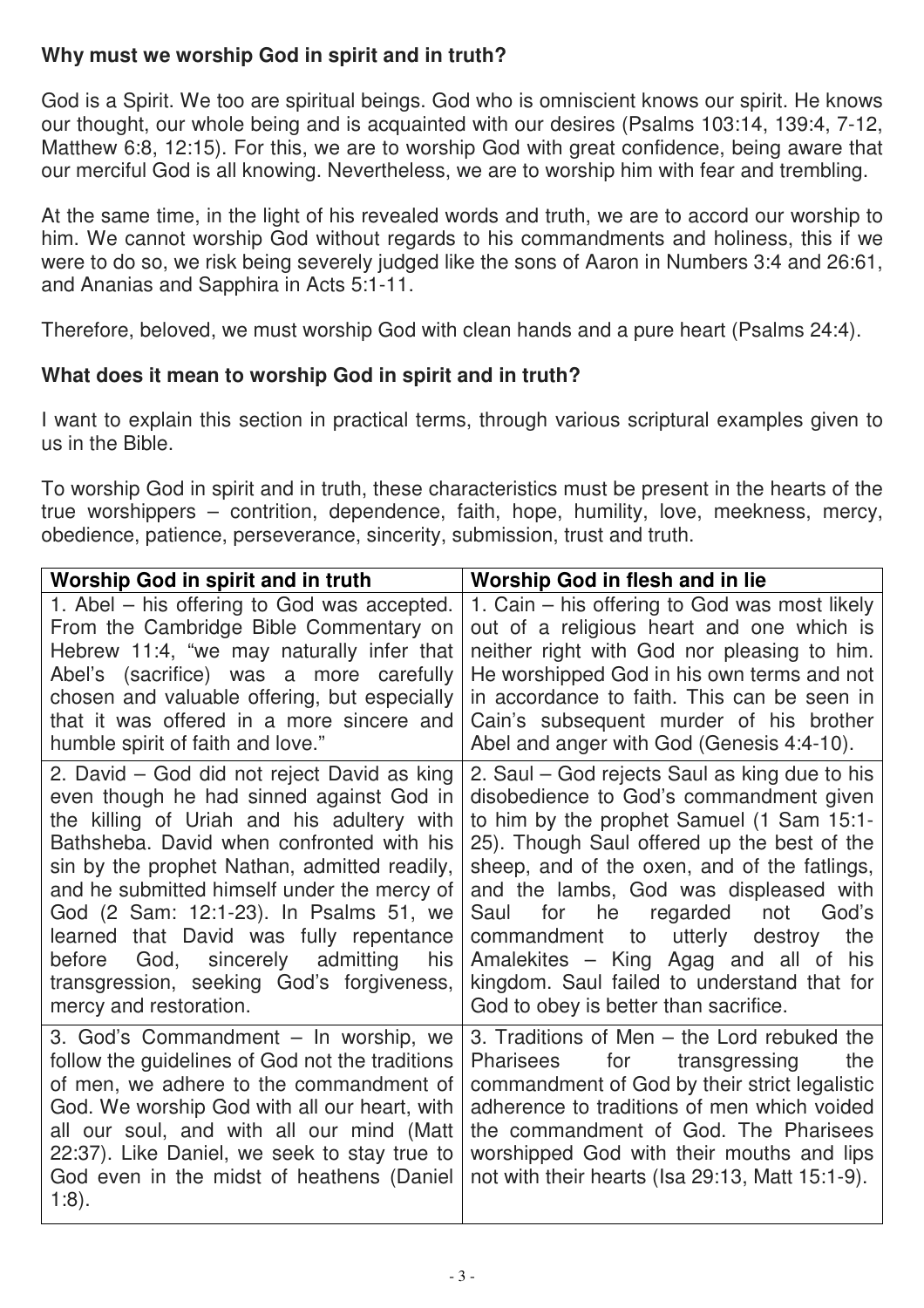## **Why must we worship God in spirit and in truth?**

God is a Spirit. We too are spiritual beings. God who is omniscient knows our spirit. He knows our thought, our whole being and is acquainted with our desires (Psalms 103:14, 139:4, 7-12, Matthew 6:8, 12:15). For this, we are to worship God with great confidence, being aware that our merciful God is all knowing. Nevertheless, we are to worship him with fear and trembling.

At the same time, in the light of his revealed words and truth, we are to accord our worship to him. We cannot worship God without regards to his commandments and holiness, this if we were to do so, we risk being severely judged like the sons of Aaron in Numbers 3:4 and 26:61, and Ananias and Sapphira in Acts 5:1-11.

Therefore, beloved, we must worship God with clean hands and a pure heart (Psalms 24:4).

## **What does it mean to worship God in spirit and in truth?**

I want to explain this section in practical terms, through various scriptural examples given to us in the Bible.

To worship God in spirit and in truth, these characteristics must be present in the hearts of the true worshippers – contrition, dependence, faith, hope, humility, love, meekness, mercy, obedience, patience, perseverance, sincerity, submission, trust and truth.

| <b>Worship God in spirit and in truth</b>                                                                                                                                                                                                                                                                                                                                                                                                                                               | Worship God in flesh and in lie                                                                                                                                                                                                                                                                                                                                                                                                                                                                           |  |  |  |
|-----------------------------------------------------------------------------------------------------------------------------------------------------------------------------------------------------------------------------------------------------------------------------------------------------------------------------------------------------------------------------------------------------------------------------------------------------------------------------------------|-----------------------------------------------------------------------------------------------------------------------------------------------------------------------------------------------------------------------------------------------------------------------------------------------------------------------------------------------------------------------------------------------------------------------------------------------------------------------------------------------------------|--|--|--|
| 1. Abel – his offering to God was accepted.                                                                                                                                                                                                                                                                                                                                                                                                                                             | 1. Cain – his offering to God was most likely                                                                                                                                                                                                                                                                                                                                                                                                                                                             |  |  |  |
| From the Cambridge Bible Commentary on                                                                                                                                                                                                                                                                                                                                                                                                                                                  | out of a religious heart and one which is                                                                                                                                                                                                                                                                                                                                                                                                                                                                 |  |  |  |
| Hebrew 11:4, "we may naturally infer that                                                                                                                                                                                                                                                                                                                                                                                                                                               | neither right with God nor pleasing to him.                                                                                                                                                                                                                                                                                                                                                                                                                                                               |  |  |  |
| Abel's (sacrifice) was a more carefully                                                                                                                                                                                                                                                                                                                                                                                                                                                 | He worshipped God in his own terms and not                                                                                                                                                                                                                                                                                                                                                                                                                                                                |  |  |  |
| chosen and valuable offering, but especially                                                                                                                                                                                                                                                                                                                                                                                                                                            | in accordance to faith. This can be seen in                                                                                                                                                                                                                                                                                                                                                                                                                                                               |  |  |  |
| that it was offered in a more sincere and                                                                                                                                                                                                                                                                                                                                                                                                                                               | Cain's subsequent murder of his brother                                                                                                                                                                                                                                                                                                                                                                                                                                                                   |  |  |  |
| humble spirit of faith and love."                                                                                                                                                                                                                                                                                                                                                                                                                                                       | Abel and anger with God (Genesis 4:4-10).                                                                                                                                                                                                                                                                                                                                                                                                                                                                 |  |  |  |
| 2. David – God did not reject David as king<br>even though he had sinned against God in<br>the killing of Uriah and his adultery with<br>Bathsheba. David when confronted with his<br>sin by the prophet Nathan, admitted readily,<br>and he submitted himself under the mercy of<br>God (2 Sam: 12:1-23). In Psalms 51, we<br>learned that David was fully repentance<br>before God, sincerely admitting<br>his<br>transgression, seeking God's forgiveness,<br>mercy and restoration. | 2. Saul – God rejects Saul as king due to his<br>disobedience to God's commandment given<br>to him by the prophet Samuel (1 Sam 15:1-<br>25). Though Saul offered up the best of the<br>sheep, and of the oxen, and of the fatlings,<br>and the lambs, God was displeased with<br>for he regarded<br>not<br>God's<br>Saul<br>utterly<br>the<br>commandment to<br>destroy<br>Amalekites - King Agag and all of his<br>kingdom. Saul failed to understand that for<br>God to obey is better than sacrifice. |  |  |  |
| 3. God's Commandment - In worship, we                                                                                                                                                                                                                                                                                                                                                                                                                                                   | 3. Traditions of Men – the Lord rebuked the                                                                                                                                                                                                                                                                                                                                                                                                                                                               |  |  |  |
| follow the guidelines of God not the traditions                                                                                                                                                                                                                                                                                                                                                                                                                                         | Pharisees for transgressing                                                                                                                                                                                                                                                                                                                                                                                                                                                                               |  |  |  |
| of men, we adhere to the commandment of                                                                                                                                                                                                                                                                                                                                                                                                                                                 | the                                                                                                                                                                                                                                                                                                                                                                                                                                                                                                       |  |  |  |
| God. We worship God with all our heart, with                                                                                                                                                                                                                                                                                                                                                                                                                                            | commandment of God by their strict legalistic                                                                                                                                                                                                                                                                                                                                                                                                                                                             |  |  |  |
| all our soul, and with all our mind (Matt                                                                                                                                                                                                                                                                                                                                                                                                                                               | adherence to traditions of men which voided                                                                                                                                                                                                                                                                                                                                                                                                                                                               |  |  |  |
| 22:37). Like Daniel, we seek to stay true to                                                                                                                                                                                                                                                                                                                                                                                                                                            | the commandment of God. The Pharisees                                                                                                                                                                                                                                                                                                                                                                                                                                                                     |  |  |  |
| God even in the midst of heathens (Daniel                                                                                                                                                                                                                                                                                                                                                                                                                                               | worshipped God with their mouths and lips                                                                                                                                                                                                                                                                                                                                                                                                                                                                 |  |  |  |
| $1:8$ ).                                                                                                                                                                                                                                                                                                                                                                                                                                                                                | not with their hearts (Isa 29:13, Matt 15:1-9).                                                                                                                                                                                                                                                                                                                                                                                                                                                           |  |  |  |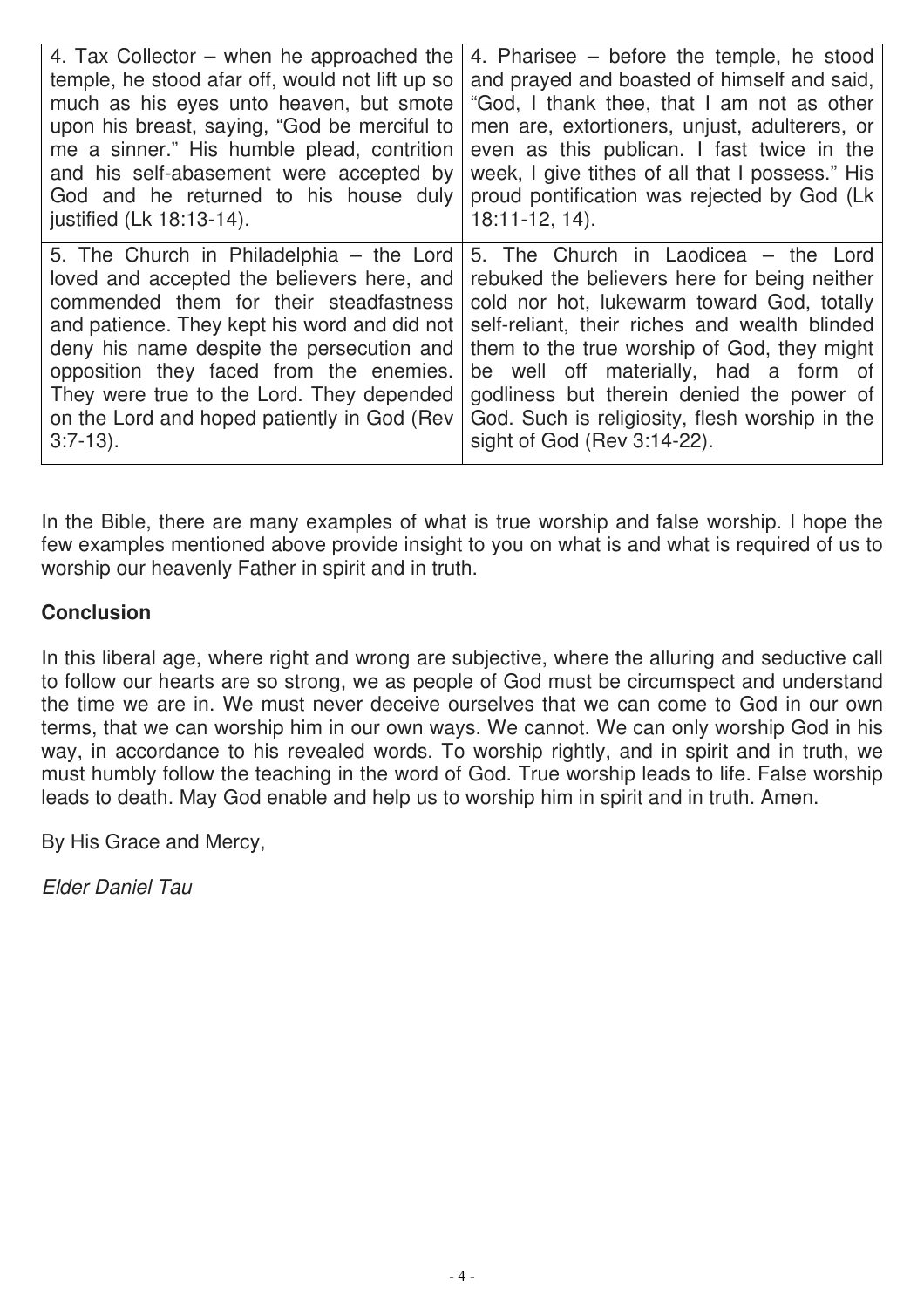| 4. Tax Collector – when he approached the       | 4. Pharisee $-$ before the temple, he stood     |
|-------------------------------------------------|-------------------------------------------------|
| temple, he stood afar off, would not lift up so | and prayed and boasted of himself and said,     |
| much as his eyes unto heaven, but smote         | "God, I thank thee, that I am not as other      |
| upon his breast, saying, "God be merciful to    | men are, extortioners, unjust, adulterers, or   |
| me a sinner." His humble plead, contrition      | even as this publican. I fast twice in the      |
| and his self-abasement were accepted by         | week, I give tithes of all that I possess." His |
| God and he returned to his house duly           | proud pontification was rejected by God (Lk     |
| justified (Lk 18:13-14).                        | $18:11-12, 14$ .                                |
| 5. The Church in Philadelphia – the Lord        | 5. The Church in Laodicea – the Lord            |
| loved and accepted the believers here, and      | rebuked the believers here for being neither    |
| commended them for their steadfastness          | cold nor hot, lukewarm toward God, totally      |
| and patience. They kept his word and did not    | self-reliant, their riches and wealth blinded   |
| deny his name despite the persecution and       | them to the true worship of God, they might     |
| opposition they faced from the enemies.         | be well off materially, had a form of           |
| They were true to the Lord. They depended       | godliness but therein denied the power of       |
| on the Lord and hoped patiently in God (Rev     | God. Such is religiosity, flesh worship in the  |
| $3:7-13$ ).                                     | sight of God (Rev 3:14-22).                     |

In the Bible, there are many examples of what is true worship and false worship. I hope the few examples mentioned above provide insight to you on what is and what is required of us to worship our heavenly Father in spirit and in truth.

## **Conclusion**

In this liberal age, where right and wrong are subjective, where the alluring and seductive call to follow our hearts are so strong, we as people of God must be circumspect and understand the time we are in. We must never deceive ourselves that we can come to God in our own terms, that we can worship him in our own ways. We cannot. We can only worship God in his way, in accordance to his revealed words. To worship rightly, and in spirit and in truth, we must humbly follow the teaching in the word of God. True worship leads to life. False worship leads to death. May God enable and help us to worship him in spirit and in truth. Amen.

By His Grace and Mercy,

Elder Daniel Tau